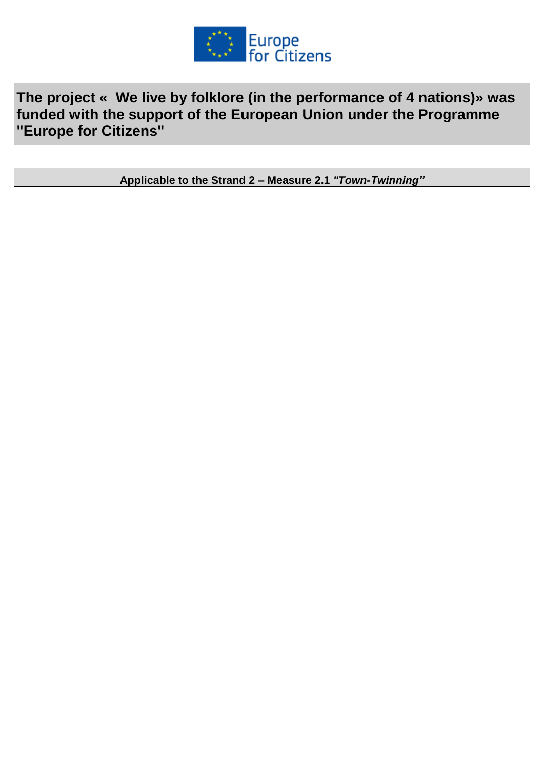

**The project « We live by folklore (in the performance of 4 nations)» was funded with the support of the European Union under the Programme "Europe for Citizens"**

**Applicable to the Strand 2 – Measure 2.1** *"Town-Twinning"*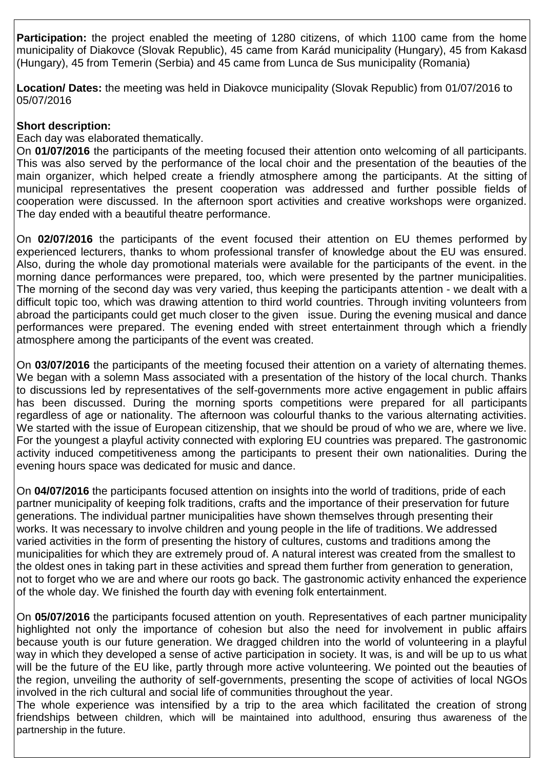**Participation:** the project enabled the meeting of 1280 citizens, of which 1100 came from the home municipality of Diakovce (Slovak Republic), 45 came from Karád municipality (Hungary), 45 from Kakasd (Hungary), 45 from Temerin (Serbia) and 45 came from Lunca de Sus municipality (Romania)

**Location/ Dates:** the meeting was held in Diakovce municipality (Slovak Republic) from 01/07/2016 to 05/07/2016

## **Short description:**

## Each day was elaborated thematically.

On **01/07/2016** the participants of the meeting focused their attention onto welcoming of all participants. This was also served by the performance of the local choir and the presentation of the beauties of the main organizer, which helped create a friendly atmosphere among the participants. At the sitting of municipal representatives the present cooperation was addressed and further possible fields of cooperation were discussed. In the afternoon sport activities and creative workshops were organized. The day ended with a beautiful theatre performance.

On **02/07/2016** the participants of the event focused their attention on EU themes performed by experienced lecturers, thanks to whom professional transfer of knowledge about the EU was ensured. Also, during the whole day promotional materials were available for the participants of the event. in the morning dance performances were prepared, too, which were presented by the partner municipalities. The morning of the second day was very varied, thus keeping the participants attention - we dealt with a difficult topic too, which was drawing attention to third world countries. Through inviting volunteers from abroad the participants could get much closer to the given issue. During the evening musical and dance performances were prepared. The evening ended with street entertainment through which a friendly atmosphere among the participants of the event was created.

On **03/07/2016** the participants of the meeting focused their attention on a variety of alternating themes. We began with a solemn Mass associated with a presentation of the history of the local church. Thanks to discussions led by representatives of the self-governments more active engagement in public affairs has been discussed. During the morning sports competitions were prepared for all participants regardless of age or nationality. The afternoon was colourful thanks to the various alternating activities. We started with the issue of European citizenship, that we should be proud of who we are, where we live. For the youngest a playful activity connected with exploring EU countries was prepared. The gastronomic activity induced competitiveness among the participants to present their own nationalities. During the evening hours space was dedicated for music and dance.

On **04/07/2016** the participants focused attention on insights into the world of traditions, pride of each partner municipality of keeping folk traditions, crafts and the importance of their preservation for future generations. The individual partner municipalities have shown themselves through presenting their works. It was necessary to involve children and young people in the life of traditions. We addressed varied activities in the form of presenting the history of cultures, customs and traditions among the municipalities for which they are extremely proud of. A natural interest was created from the smallest to the oldest ones in taking part in these activities and spread them further from generation to generation, not to forget who we are and where our roots go back. The gastronomic activity enhanced the experience of the whole day. We finished the fourth day with evening folk entertainment.

On **05/07/2016** the participants focused attention on youth. Representatives of each partner municipality highlighted not only the importance of cohesion but also the need for involvement in public affairs because youth is our future generation. We dragged children into the world of volunteering in a playful way in which they developed a sense of active participation in society. It was, is and will be up to us what will be the future of the EU like, partly through more active volunteering. We pointed out the beauties of the region, unveiling the authority of self-governments, presenting the scope of activities of local NGOs involved in the rich cultural and social life of communities throughout the year.

The whole experience was intensified by a trip to the area which facilitated the creation of strong friendships between children, which will be maintained into adulthood, ensuring thus awareness of the partnership in the future.